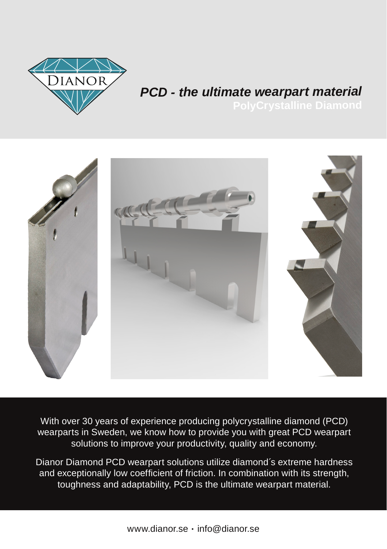

# *PCD - the ultimate wearpart material*



With over 30 years of experience producing polycrystalline diamond (PCD) wearparts in Sweden, we know how to provide you with great PCD wearpart solutions to improve your productivity, quality and economy.

Dianor Diamond PCD wearpart solutions utilize diamond´s extreme hardness and exceptionally low coefficient of friction. In combination with its strength, toughness and adaptability, PCD is the ultimate wearpart material.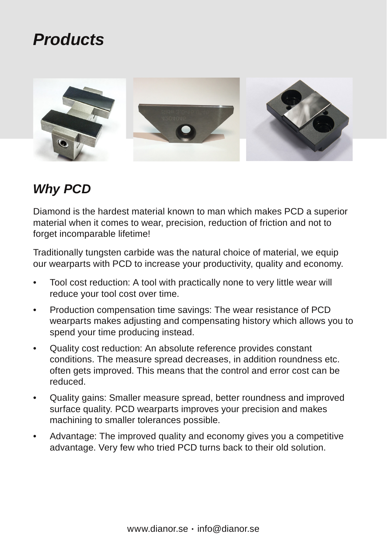## *Products*



#### *Why PCD*

Diamond is the hardest material known to man which makes PCD a superior material when it comes to wear, precision, reduction of friction and not to forget incomparable lifetime!

Traditionally tungsten carbide was the natural choice of material, we equip our wearparts with PCD to increase your productivity, quality and economy.

- Tool cost reduction: A tool with practically none to very little wear will reduce your tool cost over time.
- Production compensation time savings: The wear resistance of PCD wearparts makes adjusting and compensating history which allows you to spend your time producing instead.
- Quality cost reduction: An absolute reference provides constant conditions. The measure spread decreases, in addition roundness etc. often gets improved. This means that the control and error cost can be reduced.
- Quality gains: Smaller measure spread, better roundness and improved surface quality. PCD wearparts improves your precision and makes machining to smaller tolerances possible.
- Advantage: The improved quality and economy gives you a competitive advantage. Very few who tried PCD turns back to their old solution.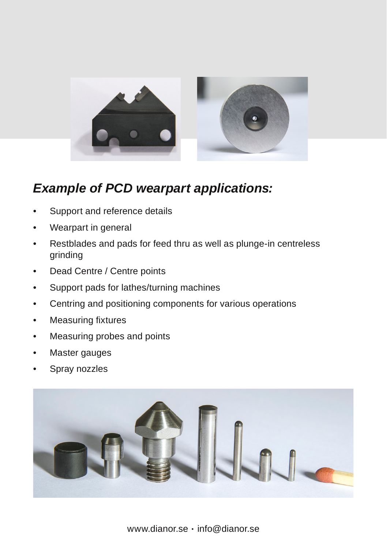

#### *Example of PCD wearpart applications:*

- Support and reference details
- Wearpart in general
- Restblades and pads for feed thru as well as plunge-in centreless grinding
- Dead Centre / Centre points
- Support pads for lathes/turning machines
- Centring and positioning components for various operations
- Measuring fixtures
- Measuring probes and points
- Master gauges
- Spray nozzles